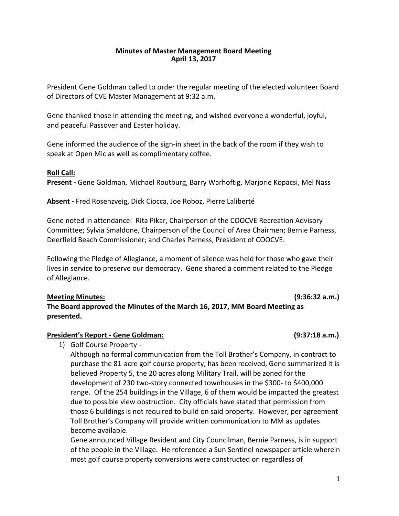## **Minutes of Master Management Board Meeting April 13, 2017**

President Gene Goldman called to order the regular meeting of the elected volunteer Board of Directors of CVE Master Management at 9:32 a.m.

Gene thanked those in attending the meeting, and wished everyone a wonderful, joyful, and peaceful Passover and Easter holiday.

Gene informed the audience of the sign-in sheet in the back of the room if they wish to speak at Open Mic as well as complimentary coffee.

## **Roll Call:**

**Present** - Gene Goldman, Michael Routburg, Barry Warhoftig, Marjorie Kopacsi, Mel Nass

Absent - Fred Rosenzveig, Dick Ciocca, Joe Roboz, Pierre Laliberté

Gene noted in attendance: Rita Pikar, Chairperson of the COOCVE Recreation Advisory Committee; Sylvia Smaldone, Chairperson of the Council of Area Chairmen; Bernie Parness, Deerfield Beach Commissioner; and Charles Parness, President of COOCVE.

Following the Pledge of Allegiance, a moment of silence was held for those who gave their lives in service to preserve our democracy. Gene shared a comment related to the Pledge of Allegiance.

**Meeting Minutes: (9:36:32 a.m.)** The Board approved the Minutes of the March 16, 2017, MM Board Meeting as **presented.**

## **President's Report - Gene Goldman: (9:37:18 a.m.)**

1) Golf Course Property -

Although no formal communication from the Toll Brother's Company, in contract to purchase the 81-acre golf course property, has been received, Gene summarized it is believed Property 5, the 20 acres along Military Trail, will be zoned for the development of 230 two-story connected townhouses in the \$300- to \$400,000 range. Of the 254 buildings in the Village, 6 of them would be impacted the greatest due to possible view obstruction. City officials have stated that permission from those 6 buildings is not required to build on said property. However, per agreement Toll Brother's Company will provide written communication to MM as updates become available.

Gene announced Village Resident and City Councilman, Bernie Parness, is in support of the people in the Village. He referenced a Sun Sentinel newspaper article wherein most golf course property conversions were constructed on regardless of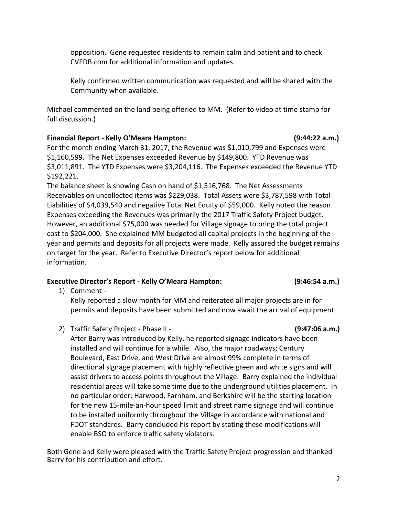opposition. Gene requested residents to remain calm and patient and to check CVEDB.com for additional information and updates.

Kelly confirmed written communication was requested and will be shared with the Community when available.

Michael commented on the land being offeried to MM. (Refer to video at time stamp for full discussion.)

# **Financial Report - Kelly O'Meara Hampton: (9:44:22 a.m.)**

For the month ending March 31, 2017, the Revenue was \$1,010,799 and Expenses were \$1,160,599. The Net Expenses exceeded Revenue by \$149,800. YTD Revenue was \$3,011,891. The YTD Expenses were \$3,204,116. The Expenses exceeded the Revenue YTD \$192,221. 

The balance sheet is showing Cash on hand of \$1,516,768. The Net Assessments Receivables on uncollected items was \$229,038. Total Assets were \$3,787,598 with Total Liabilities of \$4,039,540 and negative Total Net Equity of \$59,000. Kelly noted the reason Expenses exceeding the Revenues was primarily the 2017 Traffic Safety Project budget. However, an additional \$75,000 was needed for Village signage to bring the total project cost to \$204,000. She explained MM budgeted all capital projects in the beginning of the year and permits and deposits for all projects were made. Kelly assured the budget remains on target for the year. Refer to Executive Director's report below for additional information.

# **Executive Director's Report - Kelly O'Meara Hampton: (9:46:54 a.m.)**

1) Comment -

Kelly reported a slow month for MM and reiterated all major projects are in for permits and deposits have been submitted and now await the arrival of equipment.

After Barry was introduced by Kelly, he reported signage indicators have been installed and will continue for a while. Also, the major roadways; Century Boulevard, East Drive, and West Drive are almost 99% complete in terms of

2) Traffic Safety Project - Phase II - *COMPREE 18* 10:47:06 **a.m.** 

Barry for his contribution and effort.

residential areas will take some time due to the underground utilities placement. In no particular order, Harwood, Farnham, and Berkshire will be the starting location for the new 15-mile-an-hour speed limit and street name signage and will continue to be installed uniformly throughout the Village in accordance with national and FDOT standards. Barry concluded his report by stating these modifications will enable BSO to enforce traffic safety violators. Both Gene and Kelly were pleased with the Traffic Safety Project progression and thanked

directional signage placement with highly reflective green and white signs and will assist drivers to access points throughout the Village. Barry explained the individual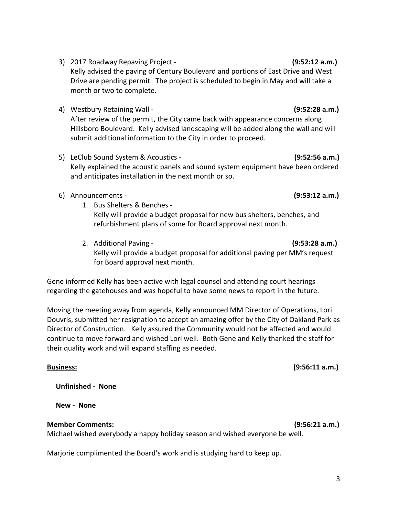- 3) 2017 Roadway Repaving Project - **(9:52:12 a.m.)** Kelly advised the paving of Century Boulevard and portions of East Drive and West Drive are pending permit. The project is scheduled to begin in May and will take a month or two to complete.
- 4) Westbury Retaining Wall **And Contained Act Contained Act Contained Act Contained Act Of Contained Act Of Contained Act Of Contained Act Of Contained Act Of Contained Act Of Contained Act Of Contained Act Of Contained** After review of the permit, the City came back with appearance concerns along Hillsboro Boulevard. Kelly advised landscaping will be added along the wall and will submit additional information to the City in order to proceed.
- 5) LeClub Sound System & Acoustics **Accupation Containery (9:52:56 a.m.)** Kelly explained the acoustic panels and sound system equipment have been ordered and anticipates installation in the next month or so.
- 6) Announcements **(9:53:12 a.m.)** 
	- 1. Bus Shelters & Benches -Kelly will provide a budget proposal for new bus shelters, benches, and refurbishment plans of some for Board approval next month.
	- 2. Additional Paving - **(9:53:28 a.m.)** Kelly will provide a budget proposal for additional paving per MM's request for Board approval next month.

Gene informed Kelly has been active with legal counsel and attending court hearings regarding the gatehouses and was hopeful to have some news to report in the future.

Moving the meeting away from agenda, Kelly announced MM Director of Operations, Lori Douvris, submitted her resignation to accept an amazing offer by the City of Oakland Park as Director of Construction. Kelly assured the Community would not be affected and would continue to move forward and wished Lori well. Both Gene and Kelly thanked the staff for their quality work and will expand staffing as needed.

**Unfinished** - None

**New - None** 

## **Member Comments: (9:56:21 a.m.)**

Michael wished everybody a happy holiday season and wished everyone be well.

Marjorie complimented the Board's work and is studying hard to keep up.

**Business:** (9:56:11 **a.m.**)